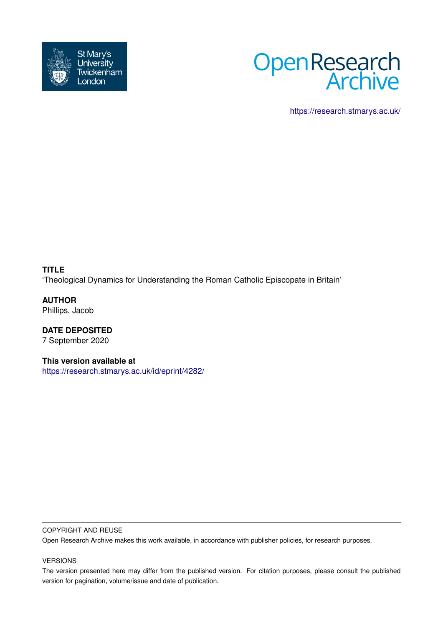



<https://research.stmarys.ac.uk/>

**TITLE** 'Theological Dynamics for Understanding the Roman Catholic Episcopate in Britain'

**AUTHOR** Phillips, Jacob

**DATE DEPOSITED** 7 September 2020

**This version available at** <https://research.stmarys.ac.uk/id/eprint/4282/>

## COPYRIGHT AND REUSE

Open Research Archive makes this work available, in accordance with publisher policies, for research purposes.

## VERSIONS

The version presented here may differ from the published version. For citation purposes, please consult the published version for pagination, volume/issue and date of publication.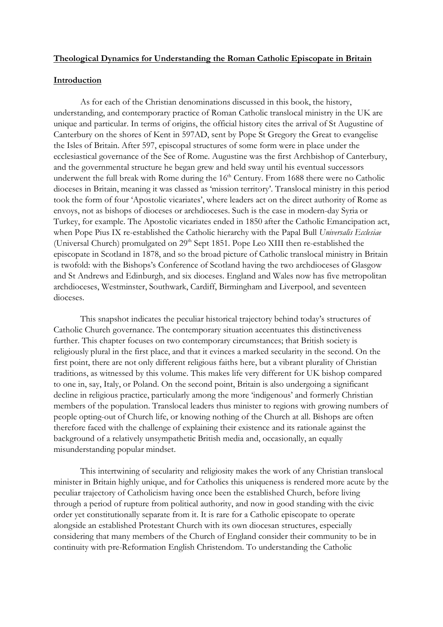## **Theological Dynamics for Understanding the Roman Catholic Episcopate in Britain**

# **Introduction**

As for each of the Christian denominations discussed in this book, the history, understanding, and contemporary practice of Roman Catholic translocal ministry in the UK are unique and particular. In terms of origins, the official history cites the arrival of St Augustine of Canterbury on the shores of Kent in 597AD, sent by Pope St Gregory the Great to evangelise the Isles of Britain. After 597, episcopal structures of some form were in place under the ecclesiastical governance of the See of Rome. Augustine was the first Archbishop of Canterbury, and the governmental structure he began grew and held sway until his eventual successors underwent the full break with Rome during the 16<sup>th</sup> Century. From 1688 there were no Catholic dioceses in Britain, meaning it was classed as 'mission territory'. Translocal ministry in this period took the form of four 'Apostolic vicariates', where leaders act on the direct authority of Rome as envoys, not as bishops of dioceses or archdioceses. Such is the case in modern-day Syria or Turkey, for example. The Apostolic vicariates ended in 1850 after the Catholic Emancipation act, when Pope Pius IX re-established the Catholic hierarchy with the Papal Bull *Universalis Ecclesiae* (Universal Church) promulgated on  $29<sup>th</sup>$  Sept 1851. Pope Leo XIII then re-established the episcopate in Scotland in 1878, and so the broad picture of Catholic translocal ministry in Britain is twofold: with the Bishops's Conference of Scotland having the two archdioceses of Glasgow and St Andrews and Edinburgh, and six dioceses. England and Wales now has five metropolitan archdioceses, Westminster, Southwark, Cardiff, Birmingham and Liverpool, and seventeen dioceses.

 This snapshot indicates the peculiar historical trajectory behind today's structures of Catholic Church governance. The contemporary situation accentuates this distinctiveness further. This chapter focuses on two contemporary circumstances; that British society is religiously plural in the first place, and that it evinces a marked secularity in the second. On the first point, there are not only different religious faiths here, but a vibrant plurality of Christian traditions, as witnessed by this volume. This makes life very different for UK bishop compared to one in, say, Italy, or Poland. On the second point, Britain is also undergoing a significant decline in religious practice, particularly among the more 'indigenous' and formerly Christian members of the population. Translocal leaders thus minister to regions with growing numbers of people opting-out of Church life, or knowing nothing of the Church at all. Bishops are often therefore faced with the challenge of explaining their existence and its rationale against the background of a relatively unsympathetic British media and, occasionally, an equally misunderstanding popular mindset.

This intertwining of secularity and religiosity makes the work of any Christian translocal minister in Britain highly unique, and for Catholics this uniqueness is rendered more acute by the peculiar trajectory of Catholicism having once been the established Church, before living through a period of rupture from political authority, and now in good standing with the civic order yet constitutionally separate from it. It is rare for a Catholic episcopate to operate alongside an established Protestant Church with its own diocesan structures, especially considering that many members of the Church of England consider their community to be in continuity with pre-Reformation English Christendom. To understanding the Catholic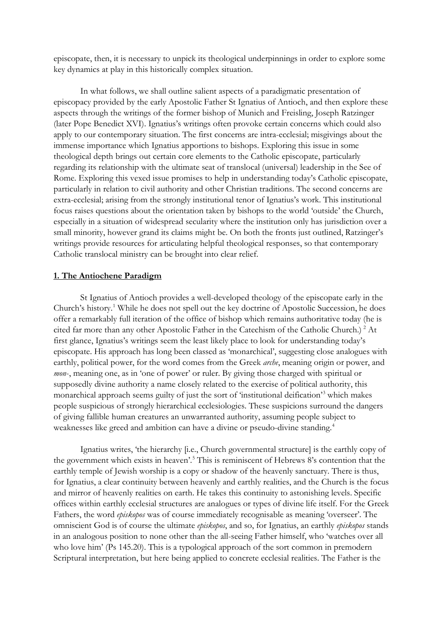episcopate, then, it is necessary to unpick its theological underpinnings in order to explore some key dynamics at play in this historically complex situation.

In what follows, we shall outline salient aspects of a paradigmatic presentation of episcopacy provided by the early Apostolic Father St Ignatius of Antioch, and then explore these aspects through the writings of the former bishop of Munich and Freisling, Joseph Ratzinger (later Pope Benedict XVI). Ignatius's writings often provoke certain concerns which could also apply to our contemporary situation. The first concerns are intra-ecclesial; misgivings about the immense importance which Ignatius apportions to bishops. Exploring this issue in some theological depth brings out certain core elements to the Catholic episcopate, particularly regarding its relationship with the ultimate seat of translocal (universal) leadership in the See of Rome. Exploring this vexed issue promises to help in understanding today's Catholic episcopate, particularly in relation to civil authority and other Christian traditions. The second concerns are extra-ecclesial; arising from the strongly institutional tenor of Ignatius's work. This institutional focus raises questions about the orientation taken by bishops to the world 'outside' the Church, especially in a situation of widespread secularity where the institution only has jurisdiction over a small minority, however grand its claims might be. On both the fronts just outlined, Ratzinger's writings provide resources for articulating helpful theological responses, so that contemporary Catholic translocal ministry can be brought into clear relief.

### **1. The Antiochene Paradigm**

St Ignatius of Antioch provides a well-developed theology of the episcopate early in the Church's history. [1](#page-8-0) While he does not spell out the key doctrine of Apostolic Succession, he does offer a remarkably full iteration of the office of bishop which remains authoritative today (he is cited far more than any other Apostolic Father in the Catechism of the Catholic Church.)<sup>[2](#page-8-1)</sup> At first glance, Ignatius's writings seem the least likely place to look for understanding today's episcopate. His approach has long been classed as 'monarchical', suggesting close analogues with earthly, political power, for the word comes from the Greek *arche*, meaning origin or power, and *mon*-, meaning one, as in 'one of power' or ruler. By giving those charged with spiritual or supposedly divine authority a name closely related to the exercise of political authority, this monarchical approach seems guilty of just the sort of 'institutional deification'[3](#page-8-2) which makes people suspicious of strongly hierarchical ecclesiologies. These suspicions surround the dangers of giving fallible human creatures an unwarranted authority, assuming people subject to weaknesses like greed and ambition can have a divine or pseudo-divine standing. [4](#page-8-3)

Ignatius writes, 'the hierarchy [i.e., Church governmental structure] is the earthly copy of the government which exists in heaven'. [5](#page-8-4) This is reminiscent of Hebrews 8's contention that the earthly temple of Jewish worship is a copy or shadow of the heavenly sanctuary. There is thus, for Ignatius, a clear continuity between heavenly and earthly realities, and the Church is the focus and mirror of heavenly realities on earth. He takes this continuity to astonishing levels. Specific offices within earthly ecclesial structures are analogues or types of divine life itself. For the Greek Fathers, the word *episkopos* was of course immediately recognisable as meaning 'overseer'. The omniscient God is of course the ultimate *episkopos*, and so, for Ignatius, an earthly *episkopos* stands in an analogous position to none other than the all-seeing Father himself, who 'watches over all who love him' (Ps 145.20). This is a typological approach of the sort common in premodern Scriptural interpretation, but here being applied to concrete ecclesial realities. The Father is the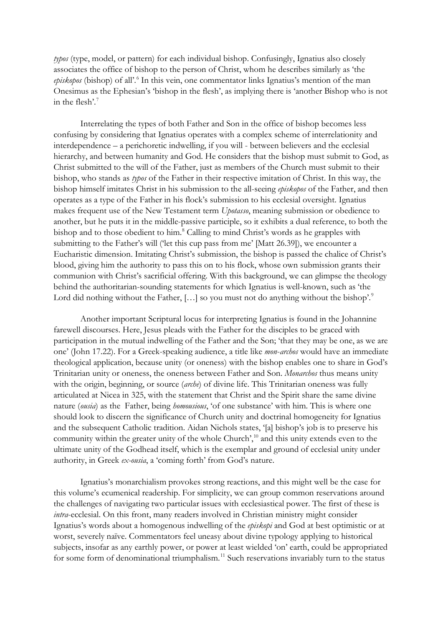*typos* (type, model, or pattern) for each individual bishop. Confusingly, Ignatius also closely associates the office of bishop to the person of Christ, whom he describes similarly as 'the *episkopos* (bishop) of all'[.6](#page-8-5) In this vein, one commentator links Ignatius's mention of the man Onesimus as the Ephesian's 'bishop in the flesh', as implying there is 'another Bishop who is not in the flesh'[.7](#page-8-6)

Interrelating the types of both Father and Son in the office of bishop becomes less confusing by considering that Ignatius operates with a complex scheme of interrelationity and interdependence – a perichoretic indwelling, if you will - between believers and the ecclesial hierarchy, and between humanity and God. He considers that the bishop must submit to God, as Christ submitted to the will of the Father, just as members of the Church must submit to their bishop, who stands as *typos* of the Father in their respective imitation of Christ. In this way, the bishop himself imitates Christ in his submission to the all-seeing *episkopos* of the Father, and then operates as a type of the Father in his flock's submission to his ecclesial oversight. Ignatius makes frequent use of the New Testament term *Upotasso*, meaning submission or obedience to another, but he puts it in the middle-passive participle, so it exhibits a dual reference, to both the bishop and to those obedient to him.<sup>[8](#page-8-7)</sup> Calling to mind Christ's words as he grapples with submitting to the Father's will ('let this cup pass from me' [Matt 26.39]), we encounter a Eucharistic dimension. Imitating Christ's submission, the bishop is passed the chalice of Christ's blood, giving him the authority to pass this on to his flock, whose own submission grants their communion with Christ's sacrificial offering. With this background, we can glimpse the theology behind the authoritarian-sounding statements for which Ignatius is well-known, such as 'the Lord did nothing without the Father,  $[...]$  so you must not do anything without the bishop'. $9$ 

Another important Scriptural locus for interpreting Ignatius is found in the Johannine farewell discourses. Here, Jesus pleads with the Father for the disciples to be graced with participation in the mutual indwelling of the Father and the Son; 'that they may be one, as we are one' (John 17.22). For a Greek-speaking audience, a title like *mon*-*archos* would have an immediate theological application, because unity (or oneness) with the bishop enables one to share in God's Trinitarian unity or oneness, the oneness between Father and Son. *Monarchos* thus means unity with the origin, beginning, or source (*arche*) of divine life. This Trinitarian oneness was fully articulated at Nicea in 325, with the statement that Christ and the Spirit share the same divine nature (*ousia*) as the Father, being *homousious*, 'of one substance' with him. This is where one should look to discern the significance of Church unity and doctrinal homogeneity for Ignatius and the subsequent Catholic tradition. Aidan Nichols states, '[a] bishop's job is to preserve his community within the greater unity of the whole Church',<sup>[10](#page-8-9)</sup> and this unity extends even to the ultimate unity of the Godhead itself, which is the exemplar and ground of ecclesial unity under authority, in Greek *ex-ousia*, a 'coming forth' from God's nature.

Ignatius's monarchialism provokes strong reactions, and this might well be the case for this volume's ecumenical readership. For simplicity, we can group common reservations around the challenges of navigating two particular issues with ecclesiastical power. The first of these is *intra*-ecclesial. On this front, many readers involved in Christian ministry might consider Ignatius's words about a homogenous indwelling of the *episkopi* and God at best optimistic or at worst, severely naïve. Commentators feel uneasy about divine typology applying to historical subjects, insofar as any earthly power, or power at least wielded 'on' earth, could be appropriated for some form of denominational triumphalism.<sup>11</sup> Such reservations invariably turn to the status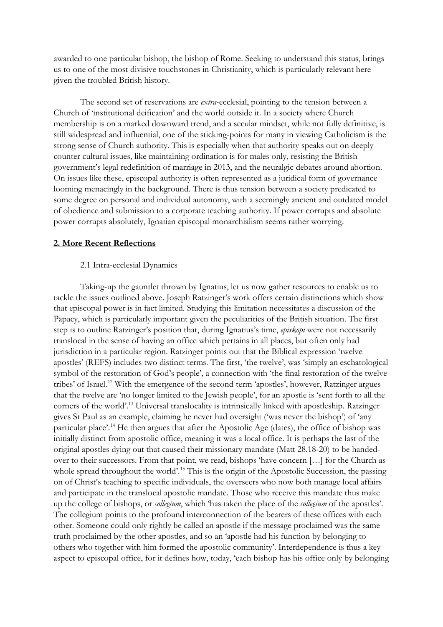awarded to one particular bishop, the bishop of Rome. Seeking to understand this status, brings us to one of the most divisive touchstones in Christianity, which is particularly relevant here given the troubled British history.

The second set of reservations are *extra*-ecclesial, pointing to the tension between a Church of 'institutional deification' and the world outside it. In a society where Church membership is on a marked downward trend, and a secular mindset, while not fully definitive, is still widespread and influential, one of the sticking-points for many in viewing Catholicism is the strong sense of Church authority. This is especially when that authority speaks out on deeply counter cultural issues, like maintaining ordination is for males only, resisting the British government's legal redefinition of marriage in 2013, and the neuralgic debates around abortion. On issues like these, episcopal authority is often represented as a juridical form of governance looming menacingly in the background. There is thus tension between a society predicated to some degree on personal and individual autonomy, with a seemingly ancient and outdated model of obedience and submission to a corporate teaching authority. If power corrupts and absolute power corrupts absolutely, Ignatian episcopal monarchialism seems rather worrying.

## **2. More Recent Reflections**

### 2.1 Intra-ecclesial Dynamics

Taking-up the gauntlet thrown by Ignatius, let us now gather resources to enable us to tackle the issues outlined above. Joseph Ratzinger's work offers certain distinctions which show that episcopal power is in fact limited. Studying this limitation necessitates a discussion of the Papacy, which is particularly important given the peculiarities of the British situation. The first step is to outline Ratzinger's position that, during Ignatius's time, *episkopi* were not necessarily translocal in the sense of having an office which pertains in all places, but often only had jurisdiction in a particular region. Ratzinger points out that the Biblical expression 'twelve apostles' (REFS) includes two distinct terms. The first, 'the twelve', was 'simply an eschatological symbol of the restoration of God's people', a connection with 'the final restoration of the twelve tribes' of Israel.<sup>[12](#page-8-11)</sup> With the emergence of the second term 'apostles', however, Ratzinger argues that the twelve are 'no longer limited to the Jewish people', for an apostle is 'sent forth to all the corners of the world'.[13](#page-9-0) Universal translocality is intrinsically linked with apostleship. Ratzinger gives St Paul as an example, claiming he never had oversight ('was never the bishop') of 'any particular place'.[14](#page-9-1) He then argues that after the Apostolic Age (dates), the office of bishop was initially distinct from apostolic office, meaning it was a local office. It is perhaps the last of the original apostles dying out that caused their missionary mandate (Matt 28.18-20) to be handedover to their successors. From that point, we read, bishops 'have concern […] for the Church as whole spread throughout the world'.<sup>[15](#page-9-2)</sup> This is the origin of the Apostolic Succession, the passing on of Christ's teaching to specific individuals, the overseers who now both manage local affairs and participate in the translocal apostolic mandate. Those who receive this mandate thus make up the college of bishops, or *collegium*, which 'has taken the place of the *collegium* of the apostles'. The collegium points to the profound interconnection of the bearers of these offices with each other. Someone could only rightly be called an apostle if the message proclaimed was the same truth proclaimed by the other apostles, and so an 'apostle had his function by belonging to others who together with him formed the apostolic community'. Interdependence is thus a key aspect to episcopal office, for it defines how, today, 'each bishop has his office only by belonging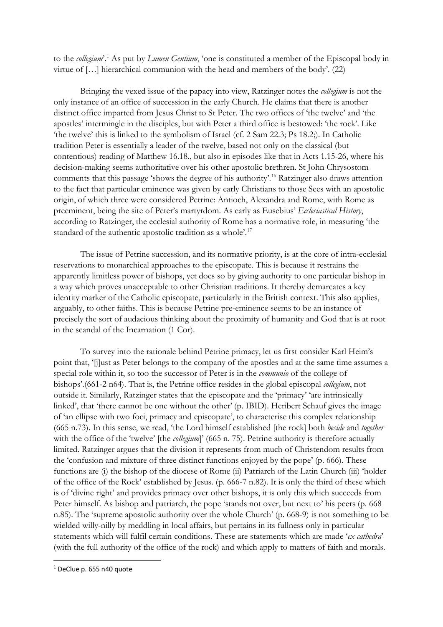to the *collegium*'[.1](#page-5-0) As put by *Lumen Gentium*, 'one is constituted a member of the Episcopal body in virtue of […] hierarchical communion with the head and members of the body'. (22)

Bringing the vexed issue of the papacy into view, Ratzinger notes the *collegium* is not the only instance of an office of succession in the early Church. He claims that there is another distinct office imparted from Jesus Christ to St Peter. The two offices of 'the twelve' and 'the apostles' intermingle in the disciples, but with Peter a third office is bestowed: 'the rock'. Like 'the twelve' this is linked to the symbolism of Israel (cf. 2 Sam 22.3; Ps 18.2;). In Catholic tradition Peter is essentially a leader of the twelve, based not only on the classical (but contentious) reading of Matthew 16.18., but also in episodes like that in Acts 1.15-26, where his decision-making seems authoritative over his other apostolic brethren. St John Chrysostom comments that this passage 'shows the degree of his authority'.<sup>[16](#page-9-3)</sup> Ratzinger also draws attention to the fact that particular eminence was given by early Christians to those Sees with an apostolic origin, of which three were considered Petrine: Antioch, Alexandra and Rome, with Rome as preeminent, being the site of Peter's martyrdom. As early as Eusebius' *Ecclesiastical History*, according to Ratzinger, the ecclesial authority of Rome has a normative role, in measuring 'the standard of the authentic apostolic tradition as a whole'.<sup>17</sup>

The issue of Petrine succession, and its normative priority, is at the core of intra-ecclesial reservations to monarchical approaches to the episcopate. This is because it restrains the apparently limitless power of bishops, yet does so by giving authority to one particular bishop in a way which proves unacceptable to other Christian traditions. It thereby demarcates a key identity marker of the Catholic episcopate, particularly in the British context. This also applies, arguably, to other faiths. This is because Petrine pre-eminence seems to be an instance of precisely the sort of audacious thinking about the proximity of humanity and God that is at root in the scandal of the Incarnation (1 Cor).

To survey into the rationale behind Petrine primacy, let us first consider Karl Heim's point that, '[j]ust as Peter belongs to the company of the apostles and at the same time assumes a special role within it, so too the successor of Peter is in the *communio* of the college of bishops'.(661-2 n64). That is, the Petrine office resides in the global episcopal *collegium*, not outside it. Similarly, Ratzinger states that the episcopate and the 'primacy' 'are intrinsically linked', that 'there cannot be one without the other' (p. IBID). Heribert Schauf gives the image of 'an ellipse with two foci, primacy and episcopate', to characterise this complex relationship (665 n.73). In this sense, we read, 'the Lord himself established [the rock] both *beside* and *together* with the office of the 'twelve' [the *collegium*]' (665 n. 75). Petrine authority is therefore actually limited. Ratzinger argues that the division it represents from much of Christendom results from the 'confusion and mixture of three distinct functions enjoyed by the pope' (p. 666). These functions are (i) the bishop of the diocese of Rome (ii) Patriarch of the Latin Church (iii) 'holder of the office of the Rock' established by Jesus. (p. 666-7 n.82). It is only the third of these which is of 'divine right' and provides primacy over other bishops, it is only this which succeeds from Peter himself. As bishop and patriarch, the pope 'stands not over, but next to' his peers (p. 668 n.85). The 'supreme apostolic authority over the whole Church' (p. 668-9) is not something to be wielded willy-nilly by meddling in local affairs, but pertains in its fullness only in particular statements which will fulfil certain conditions. These are statements which are made '*ex cathedra*' (with the full authority of the office of the rock) and which apply to matters of faith and morals.

<span id="page-5-0"></span><sup>&</sup>lt;sup>1</sup> DeClue p. 655 n40 quote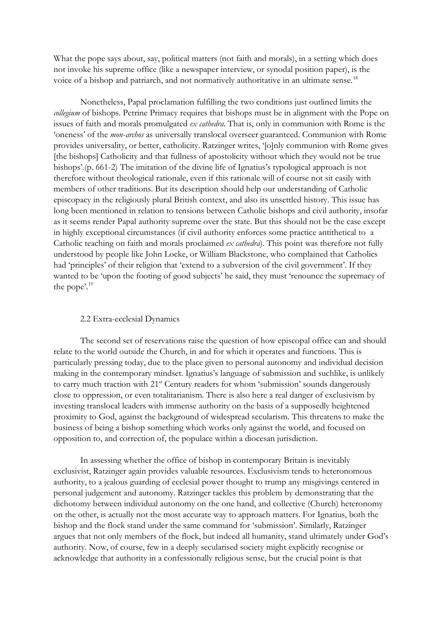What the pope says about, say, political matters (not faith and morals), in a setting which does not invoke his supreme office (like a newspaper interview, or synodal position paper), is the voice of a bishop and patriarch, and not normatively authoritative in an ultimate sense.<sup>18</sup>

Nonetheless, Papal proclamation fulfilling the two conditions just outlined limits the *collegium* of bishops. Petrine Primacy requires that bishops must be in alignment with the Pope on issues of faith and morals promulgated *ex cathedra*. That is, only in communion with Rome is the 'oneness' of the *mon*-*archos* as universally translocal overseer guaranteed. Communion with Rome provides universality, or better, catholicity. Ratzinger writes, '[o]nly communion with Rome gives [the bishops] Catholicity and that fullness of apostolicity without which they would not be true bishops'.(p. 661-2) The imitation of the divine life of Ignatius's typological approach is not therefore without theological rationale, even if this rationale will of course not sit easily with members of other traditions. But its description should help our understanding of Catholic episcopacy in the religiously plural British context, and also its unsettled history. This issue has long been mentioned in relation to tensions between Catholic bishops and civil authority, insofar as it seems render Papal authority supreme over the state. But this should not be the case except in highly exceptional circumstances (if civil authority enforces some practice antithetical to a Catholic teaching on faith and morals proclaimed *ex cathedra*). This point was therefore not fully understood by people like John Locke, or William Blackstone, who complained that Catholics had 'principles' of their religion that 'extend to a subversion of the civil government'. If they wanted to be 'upon the footing of good subjects' he said, they must 'renounce the supremacy of the pope'.[19](#page-9-6)

#### 2.2 Extra-ecclesial Dynamics

The second set of reservations raise the question of how episcopal office can and should relate to the world outside the Church, in and for which it operates and functions. This is particularly pressing today, due to the place given to personal autonomy and individual decision making in the contemporary mindset. Ignatius's language of submission and suchlike, is unlikely to carry much traction with 21<sup>st</sup> Century readers for whom 'submission' sounds dangerously close to oppression, or even totalitarianism. There is also here a real danger of exclusivism by investing translocal leaders with immense authority on the basis of a supposedly heightened proximity to God, against the background of widespread secularism. This threatens to make the business of being a bishop something which works only against the world, and focused on opposition to, and correction of, the populace within a diocesan jurisdiction.

In assessing whether the office of bishop in contemporary Britain is inevitably exclusivist, Ratzinger again provides valuable resources. Exclusivism tends to heteronomous authority, to a jealous guarding of ecclesial power thought to trump any misgivings centered in personal judgement and autonomy. Ratzinger tackles this problem by demonstrating that the dichotomy between individual autonomy on the one hand, and collective (Church) heteronomy on the other, is actually not the most accurate way to approach matters. For Ignatius, both the bishop and the flock stand under the same command for 'submission'. Similarly, Ratzinger argues that not only members of the flock, but indeed all humanity, stand ultimately under God's authority. Now, of course, few in a deeply secularised society might explicitly recognise or acknowledge that authority in a confessionally religious sense, but the crucial point is that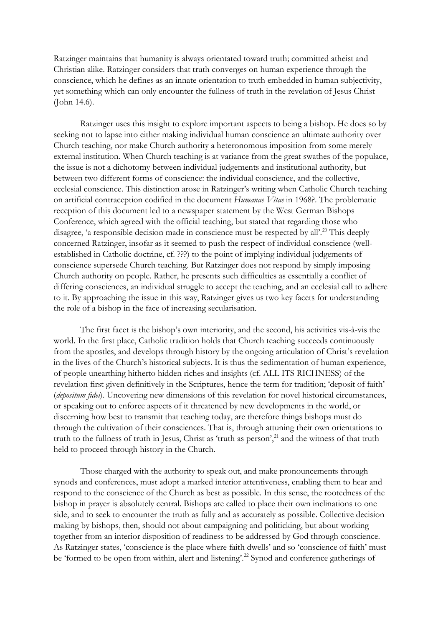Ratzinger maintains that humanity is always orientated toward truth; committed atheist and Christian alike. Ratzinger considers that truth converges on human experience through the conscience, which he defines as an innate orientation to truth embedded in human subjectivity, yet something which can only encounter the fullness of truth in the revelation of Jesus Christ (John 14.6).

Ratzinger uses this insight to explore important aspects to being a bishop. He does so by seeking not to lapse into either making individual human conscience an ultimate authority over Church teaching, nor make Church authority a heteronomous imposition from some merely external institution. When Church teaching is at variance from the great swathes of the populace, the issue is not a dichotomy between individual judgements and institutional authority, but between two different forms of conscience: the individual conscience, and the collective, ecclesial conscience. This distinction arose in Ratzinger's writing when Catholic Church teaching on artificial contraception codified in the document *Humanae Vitae* in 1968?. The problematic reception of this document led to a newspaper statement by the West German Bishops Conference, which agreed with the official teaching, but stated that regarding those who disagree, 'a responsible decision made in conscience must be respected by all'.<sup>20</sup> This deeply concerned Ratzinger, insofar as it seemed to push the respect of individual conscience (wellestablished in Catholic doctrine, cf. ???) to the point of implying individual judgements of conscience supersede Church teaching. But Ratzinger does not respond by simply imposing Church authority on people. Rather, he presents such difficulties as essentially a conflict of differing consciences, an individual struggle to accept the teaching, and an ecclesial call to adhere to it. By approaching the issue in this way, Ratzinger gives us two key facets for understanding the role of a bishop in the face of increasing secularisation.

The first facet is the bishop's own interiority, and the second, his activities vis-à-vis the world. In the first place, Catholic tradition holds that Church teaching succeeds continuously from the apostles, and develops through history by the ongoing articulation of Christ's revelation in the lives of the Church's historical subjects. It is thus the sedimentation of human experience, of people unearthing hitherto hidden riches and insights (cf. ALL ITS RICHNESS) of the revelation first given definitively in the Scriptures, hence the term for tradition; 'deposit of faith' (*depositum fidei*). Uncovering new dimensions of this revelation for novel historical circumstances, or speaking out to enforce aspects of it threatened by new developments in the world, or discerning how best to transmit that teaching today, are therefore things bishops must do through the cultivation of their consciences. That is, through attuning their own orientations to truth to the fullness of truth in Jesus, Christ as 'truth as person',<sup>21</sup> and the witness of that truth held to proceed through history in the Church.

Those charged with the authority to speak out, and make pronouncements through synods and conferences, must adopt a marked interior attentiveness, enabling them to hear and respond to the conscience of the Church as best as possible. In this sense, the rootedness of the bishop in prayer is absolutely central. Bishops are called to place their own inclinations to one side, and to seek to encounter the truth as fully and as accurately as possible. Collective decision making by bishops, then, should not about campaigning and politicking, but about working together from an interior disposition of readiness to be addressed by God through conscience. As Ratzinger states, 'conscience is the place where faith dwells' and so 'conscience of faith' must be 'formed to be open from within, alert and listening'.<sup>[22](#page-9-9)</sup> Synod and conference gatherings of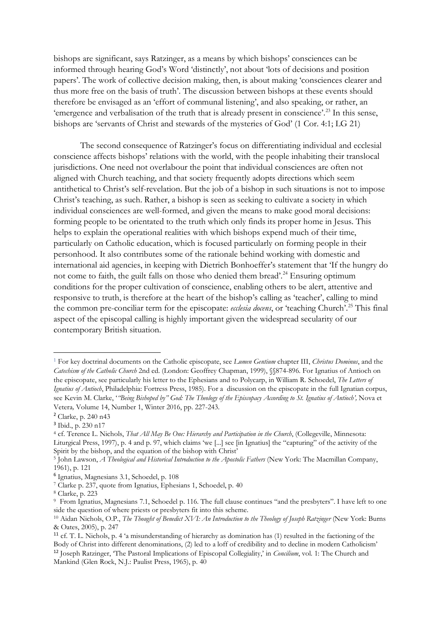bishops are significant, says Ratzinger, as a means by which bishops' consciences can be informed through hearing God's Word 'distinctly', not about 'lots of decisions and position papers'. The work of collective decision making, then, is about making 'consciences clearer and thus more free on the basis of truth'. The discussion between bishops at these events should therefore be envisaged as an 'effort of communal listening', and also speaking, or rather, an 'emergence and verbalisation of the truth that is already present in conscience'.[23](#page-9-10) In this sense, bishops are 'servants of Christ and stewards of the mysteries of God' (1 Cor. 4:1; LG 21)

The second consequence of Ratzinger's focus on differentiating individual and ecclesial conscience affects bishops' relations with the world, with the people inhabiting their translocal jurisdictions. One need not overlabour the point that individual consciences are often not aligned with Church teaching, and that society frequently adopts directions which seem antithetical to Christ's self-revelation. But the job of a bishop in such situations is not to impose Christ's teaching, as such. Rather, a bishop is seen as seeking to cultivate a society in which individual consciences are well-formed, and given the means to make good moral decisions: forming people to be orientated to the truth which only finds its proper home in Jesus. This helps to explain the operational realities with which bishops expend much of their time, particularly on Catholic education, which is focused particularly on forming people in their personhood. It also contributes some of the rationale behind working with domestic and international aid agencies, in keeping with Dietrich Bonhoeffer's statement that 'If the hungry do not come to faith, the guilt falls on those who denied them bread'.<sup>[24](#page-9-11)</sup> Ensuring optimum conditions for the proper cultivation of conscience, enabling others to be alert, attentive and responsive to truth, is therefore at the heart of the bishop's calling as 'teacher', calling to mind the common pre-conciliar term for the episcopate: *ecclesia docens*, or 'teaching Church'.[25](#page-10-0) This final aspect of the episcopal calling is highly important given the widespread secularity of our contemporary British situation.

<span id="page-8-0"></span><sup>1</sup> For key doctrinal documents on the Catholic episcopate, see *Lumen Gentium* chapter III, *Christus Dominus*, and the *Catechism of the Catholic Church* 2nd ed. (London: Geoffrey Chapman, 1999), §§874-896. For Ignatius of Antioch on the episcopate, see particularly his letter to the Ephesians and to Polycarp, in William R. Schoedel, *The Letters of Ignatius of Antioch*, Philadelphia: Fortress Press, 1985). For a discussion on the episcopate in the full Ignatian corpus, see Kevin M. Clarke, '*["Being Bishoped by" God: The Theology of the Episcopacy According to St. Ignatius of Antioch'](https://muse.jhu.edu/article/609195),* Nova et Vetera*,* Volume 14, Number 1, Winter 2016, pp. 227-243.

<span id="page-8-1"></span><sup>2</sup> Clarke, p. 240 n43

<span id="page-8-2"></span><sup>3</sup> Ibid., p. 230 n17

<span id="page-8-3"></span><sup>4</sup> cf. Terence L. Nichols, *That All May Be One: Hierarchy and Participation in the Church*, (Collegeville, Minnesota: Liturgical Press, 1997), p. 4 and p. 97, which claims 'we [...] see [in Ignatius] the "capturing" of the activity of the Spirit by the bishop, and the equation of the bishop with Christ'

<span id="page-8-4"></span><sup>5</sup> John Lawson, *A Theological and Historical Introduction to the Apostolic Fathers* (New York: The Macmillan Company, 1961), p. 121

<span id="page-8-5"></span><sup>6</sup> Ignatius, Magnesians 3.1, Schoedel, p. 108

<span id="page-8-6"></span><sup>7</sup> Clarke p. 237, quote from Ignatius, Ephesians 1, Schoedel, p. 40

<span id="page-8-7"></span><sup>8</sup> Clarke, p. 223

<span id="page-8-8"></span><sup>&</sup>lt;sup>9</sup> From Ignatius, Magnesians 7.1, Schoedel p. 116. The full clause continues "and the presbyters". I have left to one side the question of where priests or presbyters fit into this scheme.

<span id="page-8-9"></span><sup>&</sup>lt;sup>10</sup> Aidan Nichols, O.P., *The Thought of Benedict XVI: An Introduction to the Theology of Joseph Ratzinger* (New York: Burns & Oates, 2005), p. 247

<span id="page-8-11"></span><span id="page-8-10"></span><sup>&</sup>lt;sup>11</sup> cf. T. L. Nichols, p. 4 'a misunderstanding of hierarchy as domination has (1) resulted in the factioning of the Body of Christ into different denominations, (2) led to a loff of credibility and to decline in modern C <sup>12</sup> Joseph Ratzinger, 'The Pastoral Implications of Episcopal Collegiality,' in *Concilium*, vol. 1: The Church and Mankind (Glen Rock, N.J.: Paulist Press, 1965), p. 40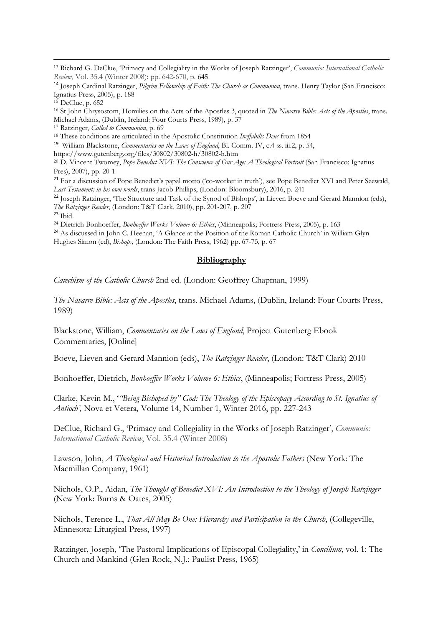<span id="page-9-0"></span><sup>13</sup> Richard G. DeClue, 'Primacy and Collegiality in the Works of Joseph Ratzinger', *Communio: International Catholic Review*, Vol. 35.4 (Winter 2008): pp. 642-670, p. 645

<span id="page-9-1"></span><sup>14</sup> Joseph Cardinal Ratzinger, *Pilgrim Fellowship of Faith: The Church as Communion*, trans. Henry Taylor (San Francisco: Ignatius Press, 2005), p. 188

<span id="page-9-3"></span><sup>16</sup> St John Chrysostom, Homilies on the Acts of the Apostles 3, quoted in *The Navarre Bible: Acts of the Apostles*, trans. Michael Adams, (Dublin, Ireland: Four Courts Press, 1989), p. 37 17 Ratzinger, *Called to Communion*, p. 69

<span id="page-9-5"></span><span id="page-9-4"></span><sup>18</sup> These conditions are articulated in the Apostolic Constitution *Ineffabilis Deus* from 1854

<span id="page-9-6"></span><sup>19</sup> William Blackstone, *Commentaries on the Laws of England*, Bl. Comm. IV, c.4 ss. iii.2, p. 54,

https://www.gutenberg.org/files/30802/30802-h/30802-h.htm

<span id="page-9-7"></span><sup>20</sup> D. Vincent Twomey, *Pope Benedict XVI: The Conscience of Our Age: A Theological Portrait* (San Francisco: Ignatius Pres), 2007), pp. 20-1

<span id="page-9-8"></span><sup>21</sup> For a discussion of Pope Benedict's papal motto ('co-worker in truth'), see Pope Benedict XVI and Peter Seewald, *Last Testament: in his own words*, trans Jacob Phillips, (London: Bloomsbury), 2016, p. 241

<span id="page-9-9"></span><sup>22</sup> Joseph Ratzinger, 'The Structure and Task of the Synod of Bishops', in Lieven Boeve and Gerard Mannion (eds), *The Ratzinger Reader*, (London: T&T Clark, 2010), pp. 201-207, p. 207

<span id="page-9-10"></span><sup>23</sup> Ibid.

<span id="page-9-11"></span><sup>24</sup> Dietrich Bonhoeffer, *Bonhoeffer Works Volume 6: Ethics*, (Minneapolis; Fortress Press, 2005), p. 163

<sup>24</sup> As discussed in John C. Heenan, 'A Glance at the Position of the Roman Catholic Church' in William Glyn Hughes Simon (ed), *Bishops*, (London: The Faith Press, 1962) pp. 67-75, p. 67

### **Bibliography**

*Catechism of the Catholic Church* 2nd ed. (London: Geoffrey Chapman, 1999)

*The Navarre Bible: Acts of the Apostles*, trans. Michael Adams, (Dublin, Ireland: Four Courts Press, 1989)

Blackstone, William, *Commentaries on the Laws of England*, Project Gutenberg Ebook Commentaries, [Online]

Boeve, Lieven and Gerard Mannion (eds), *The Ratzinger Reader*, (London: T&T Clark) 2010

Bonhoeffer, Dietrich, *Bonhoeffer Works Volume 6: Ethics*, (Minneapolis; Fortress Press, 2005)

Clarke, Kevin M., '*["Being Bishoped by" God: The Theology of the Episcopacy According to St. Ignatius of](https://muse.jhu.edu/article/609195)  [Antioch'](https://muse.jhu.edu/article/609195),* Nova et Vetera*,* Volume 14, Number 1, Winter 2016, pp. 227-243

DeClue, Richard G., 'Primacy and Collegiality in the Works of Joseph Ratzinger', *Communio: International Catholic Review*, Vol. 35.4 (Winter 2008)

Lawson, John, *A Theological and Historical Introduction to the Apostolic Fathers* (New York: The Macmillan Company, 1961)

Nichols, O.P., Aidan, *The Thought of Benedict XVI: An Introduction to the Theology of Joseph Ratzinger* (New York: Burns & Oates, 2005)

Nichols, Terence L., *That All May Be One: Hierarchy and Participation in the Church*, (Collegeville, Minnesota: Liturgical Press, 1997)

Ratzinger, Joseph, 'The Pastoral Implications of Episcopal Collegiality,' in *Concilium*, vol. 1: The Church and Mankind (Glen Rock, N.J.: Paulist Press, 1965)

<span id="page-9-2"></span> $15$  DeClue, p. 652